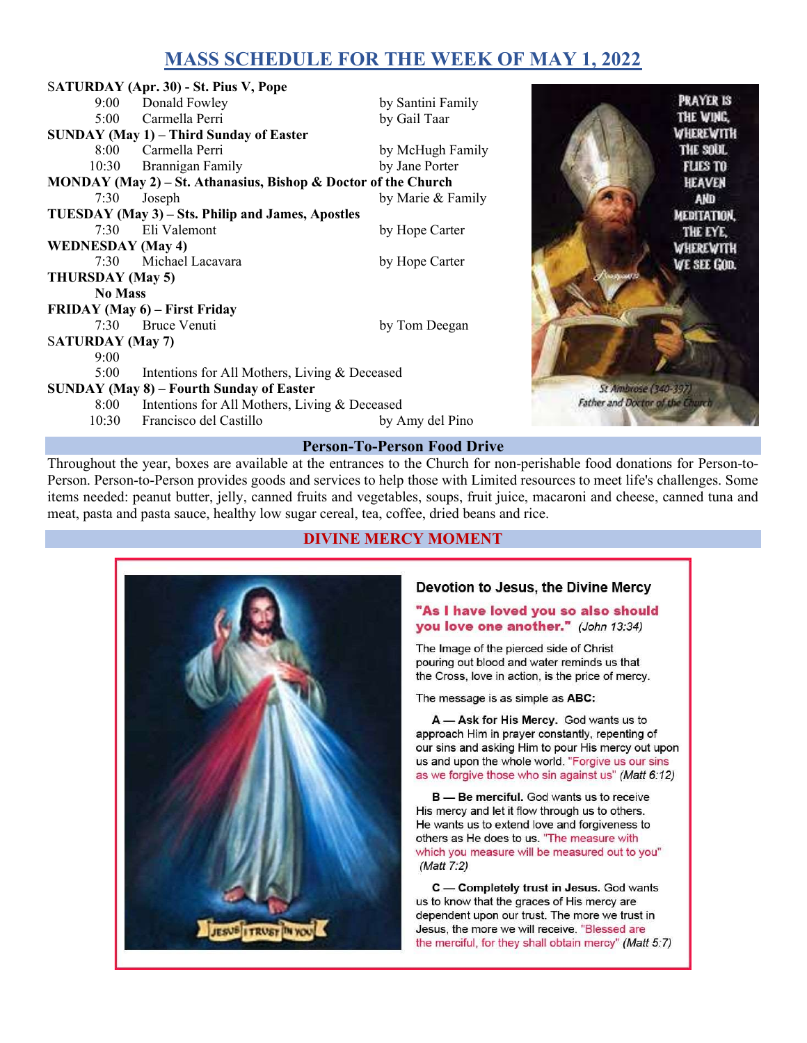# MASS SCHEDULE FOR THE WEEK OF MAY 1, 2022

|                                                                                 | SATURDAY (Apr. 30) - St. Pius V, Pope                                            |                   |                  |                  |  |
|---------------------------------------------------------------------------------|----------------------------------------------------------------------------------|-------------------|------------------|------------------|--|
| 9:00                                                                            | Donald Fowley                                                                    | by Santini Family |                  | <b>PRAYER IS</b> |  |
| 5:00                                                                            | Carmella Perri                                                                   | by Gail Taar      |                  | THE WING,        |  |
|                                                                                 | <b>SUNDAY (May 1) – Third Sunday of Easter</b>                                   |                   | <b>WHEREWITH</b> |                  |  |
| $8:00^{-}$                                                                      | Carmella Perri                                                                   | by McHugh Family  |                  | THE SOUL         |  |
| 10:30                                                                           | Brannigan Family                                                                 | by Jane Porter    |                  | <b>FLIES TO</b>  |  |
| MONDAY (May 2) – St. Athanasius, Bishop & Doctor of the Church<br><b>HEAVEN</b> |                                                                                  |                   |                  |                  |  |
| 7:30                                                                            | Joseph                                                                           | by Marie & Family |                  | AND              |  |
| TUESDAY (May 3) – Sts. Philip and James, Apostles<br>MEDITATION.                |                                                                                  |                   |                  |                  |  |
| 7:30                                                                            | Eli Valemont                                                                     | by Hope Carter    |                  | THE EYE,         |  |
| <b>WEDNESDAY</b> (May 4)<br><b>WHEREWITH</b>                                    |                                                                                  |                   |                  |                  |  |
| 7:30                                                                            | Michael Lacavara                                                                 | by Hope Carter    |                  | WE SEE GOD.      |  |
| THURSDAY (May 5)                                                                |                                                                                  |                   |                  |                  |  |
| <b>No Mass</b>                                                                  |                                                                                  |                   |                  |                  |  |
| FRIDAY (May 6) – First Friday                                                   |                                                                                  |                   |                  |                  |  |
| 7:30                                                                            | Bruce Venuti                                                                     | by Tom Deegan     |                  |                  |  |
| <b>SATURDAY</b> (May 7)                                                         |                                                                                  |                   |                  |                  |  |
| 9:00                                                                            |                                                                                  |                   |                  |                  |  |
| 5:00                                                                            | Intentions for All Mothers, Living & Deceased                                    |                   |                  |                  |  |
| <b>SUNDAY (May 8) – Fourth Sunday of Easter</b><br>St Ambrose (340-397)         |                                                                                  |                   |                  |                  |  |
| 8:00                                                                            | Father and Doctor of the Church<br>Intentions for All Mothers, Living & Deceased |                   |                  |                  |  |
| 10:30                                                                           | Francisco del Castillo                                                           | by Amy del Pino   |                  |                  |  |
| <b>Person-To-Person Food Drive</b>                                              |                                                                                  |                   |                  |                  |  |

Throughout the year, boxes are available at the entrances to the Church for non-perishable food donations for Person-to-Person. Person-to-Person provides goods and services to help those with Limited resources to meet life's challenges. Some items needed: peanut butter, jelly, canned fruits and vegetables, soups, fruit juice, macaroni and cheese, canned tuna and meat, pasta and pasta sauce, healthy low sugar cereal, tea, coffee, dried beans and rice.

## DIVINE MERCY MOMENT



#### Devotion to Jesus, the Divine Mercy

#### "As I have loved you so also should you love one another." (John 13:34)

The Image of the pierced side of Christ pouring out blood and water reminds us that the Cross, love in action, is the price of mercy.

The message is as simple as ABC:

A - Ask for His Mercy. God wants us to approach Him in prayer constantly, repenting of our sins and asking Him to pour His mercy out upon us and upon the whole world. "Forgive us our sins as we forgive those who sin against us" (Matt 6:12)

B - Be merciful. God wants us to receive His mercy and let it flow through us to others. He wants us to extend love and forgiveness to others as He does to us. "The measure with which you measure will be measured out to you" (Matt 7:2)

C - Completely trust in Jesus. God wants us to know that the graces of His mercy are dependent upon our trust. The more we trust in Jesus, the more we will receive. "Blessed are the merciful, for they shall obtain mercy" (Matt 5:7)